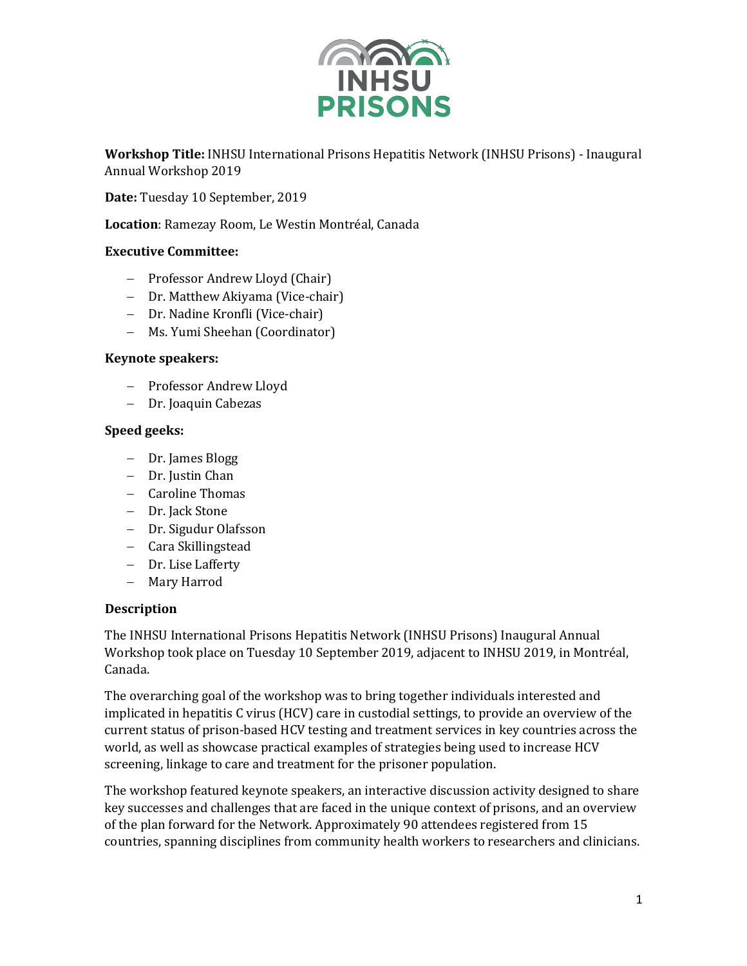

**Workshop Title:** INHSU International Prisons Hepatitis Network (INHSU Prisons) - Inaugural Annual Workshop 2019

Date: Tuesday 10 September, 2019

Location: Ramezay Room, Le Westin Montréal, Canada

## **Executive Committee:**

- Professor Andrew Lloyd (Chair)
- Dr. Matthew Akiyama (Vice-chair)
- Dr. Nadine Kronfli (Vice-chair)
- Ms. Yumi Sheehan (Coordinator)

## **Keynote speakers:**

- Professor Andrew Lloyd
- Dr. Joaquin Cabezas

## **Speed geeks:**

- Dr. James Blogg
- Dr. Justin Chan
- $-$  Caroline Thomas
- Dr. Jack Stone
- Dr. Sigudur Olafsson
- Cara Skillingstead
- Dr. Lise Lafferty
- Mary Harrod

## **Description**

The INHSU International Prisons Hepatitis Network (INHSU Prisons) Inaugural Annual Workshop took place on Tuesday 10 September 2019, adjacent to INHSU 2019, in Montréal, Canada.

The overarching goal of the workshop was to bring together individuals interested and implicated in hepatitis C virus (HCV) care in custodial settings, to provide an overview of the current status of prison-based HCV testing and treatment services in key countries across the world, as well as showcase practical examples of strategies being used to increase HCV screening, linkage to care and treatment for the prisoner population.

The workshop featured keynote speakers, an interactive discussion activity designed to share key successes and challenges that are faced in the unique context of prisons, and an overview of the plan forward for the Network. Approximately 90 attendees registered from 15 countries, spanning disciplines from community health workers to researchers and clinicians.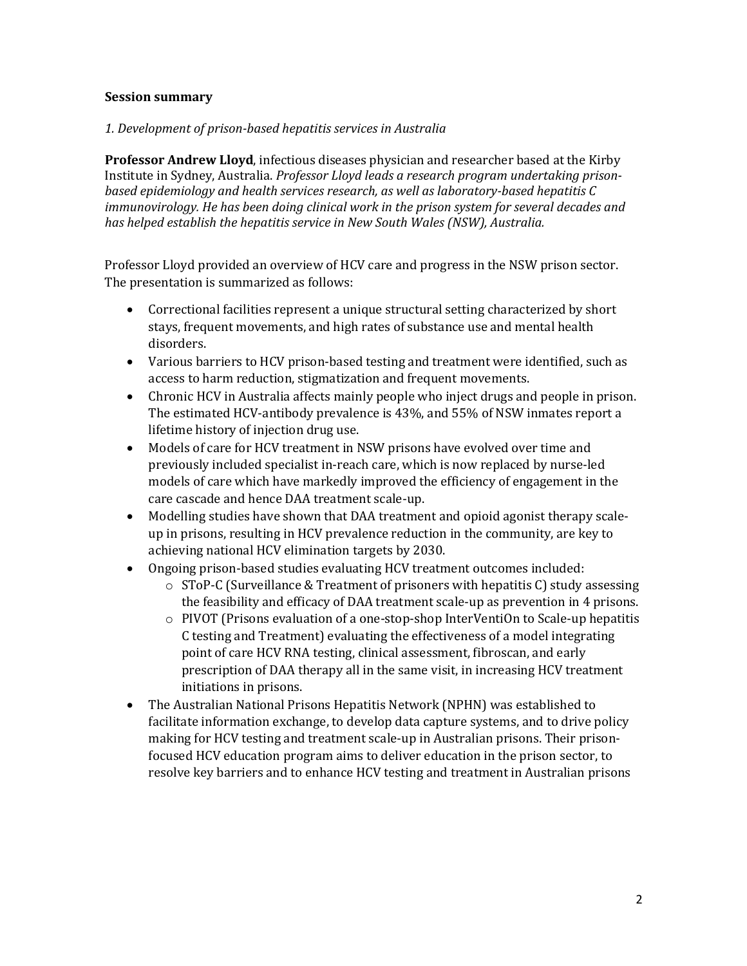### **Session summary**

### *1. Development of prison-based hepatitis services in Australia*

**Professor Andrew Lloyd**, infectious diseases physician and researcher based at the Kirby Institute in Sydney, Australia. *Professor Lloyd leads a research program undertaking prisonbased epidemiology and health services research, as well as laboratory-based hepatitis C immunovirology.* He has been doing clinical work in the prison system for several decades and has helped establish the hepatitis service in New South Wales *(NSW)*, Australia.

Professor Lloyd provided an overview of HCV care and progress in the NSW prison sector. The presentation is summarized as follows:

- Correctional facilities represent a unique structural setting characterized by short stays, frequent movements, and high rates of substance use and mental health disorders.
- Various barriers to HCV prison-based testing and treatment were identified, such as access to harm reduction, stigmatization and frequent movements.
- Chronic HCV in Australia affects mainly people who inject drugs and people in prison. The estimated HCV-antibody prevalence is 43%, and 55% of NSW inmates report a lifetime history of injection drug use.
- Models of care for HCV treatment in NSW prisons have evolved over time and previously included specialist in-reach care, which is now replaced by nurse-led models of care which have markedly improved the efficiency of engagement in the care cascade and hence DAA treatment scale-up.
- Modelling studies have shown that DAA treatment and opioid agonist therapy scaleup in prisons, resulting in HCV prevalence reduction in the community, are key to achieving national HCV elimination targets by 2030.
- Ongoing prison-based studies evaluating HCV treatment outcomes included:
	- $\circ$  SToP-C (Surveillance & Treatment of prisoners with hepatitis C) study assessing the feasibility and efficacy of DAA treatment scale-up as prevention in 4 prisons.
	- $\circ$  PIVOT (Prisons evaluation of a one-stop-shop InterVentiOn to Scale-up hepatitis C testing and Treatment) evaluating the effectiveness of a model integrating point of care HCV RNA testing, clinical assessment, fibroscan, and early prescription of DAA therapy all in the same visit, in increasing HCV treatment initiations in prisons.
- The Australian National Prisons Hepatitis Network (NPHN) was established to facilitate information exchange, to develop data capture systems, and to drive policy making for HCV testing and treatment scale-up in Australian prisons. Their prisonfocused HCV education program aims to deliver education in the prison sector, to resolve key barriers and to enhance HCV testing and treatment in Australian prisons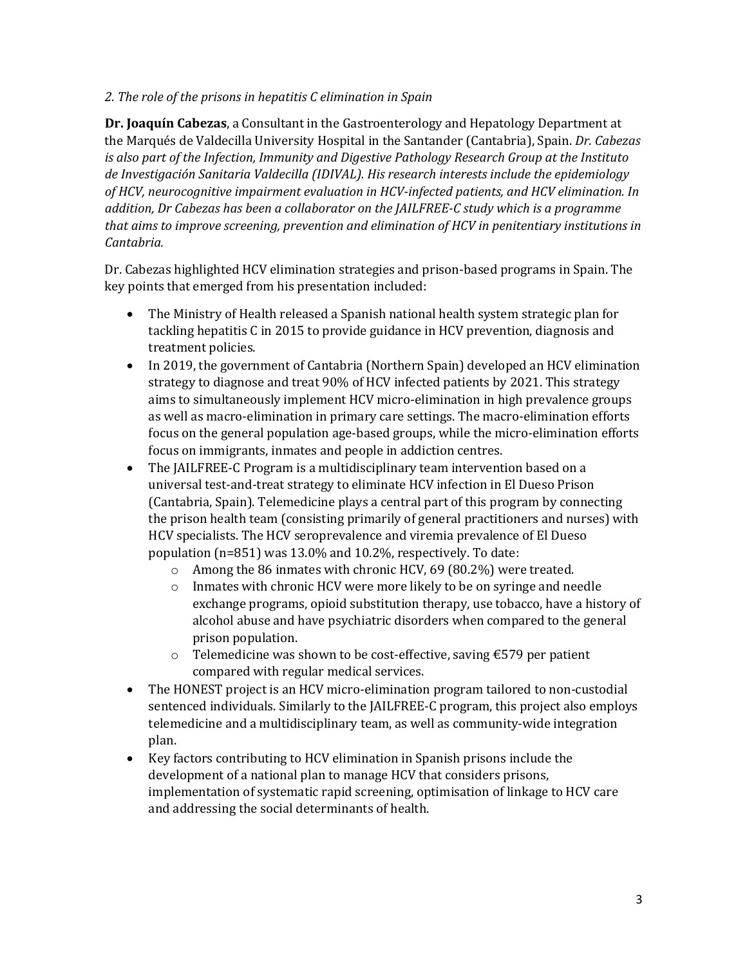# 2. The role of the prisons in hepatitis *C* elimination in Spain

**Dr. Joaquín Cabezas,** a Consultant in the Gastroenterology and Hepatology Department at the Marqués de Valdecilla University Hospital in the Santander (Cantabria), Spain. *Dr. Cabezas is* also part of the Infection, Immunity and Digestive Pathology Research Group at the Instituto de Investigación Sanitaria Valdecilla (IDIVAL). His research interests include the epidemiology of HCV, neurocognitive impairment evaluation in HCV-infected patients, and HCV elimination. In *addition, Dr Cabezas has been a collaborator on the JAILFREE-C study which is a programme that aims to improve screening, prevention and elimination of HCV in penitentiary institutions in Cantabria.*

Dr. Cabezas highlighted HCV elimination strategies and prison-based programs in Spain. The key points that emerged from his presentation included:

- The Ministry of Health released a Spanish national health system strategic plan for tackling hepatitis C in 2015 to provide guidance in HCV prevention, diagnosis and treatment policies.
- In 2019, the government of Cantabria (Northern Spain) developed an HCV elimination strategy to diagnose and treat 90% of HCV infected patients by 2021. This strategy aims to simultaneously implement HCV micro-elimination in high prevalence groups as well as macro-elimination in primary care settings. The macro-elimination efforts focus on the general population age-based groups, while the micro-elimination efforts focus on immigrants, inmates and people in addiction centres.
- The JAILFREE-C Program is a multidisciplinary team intervention based on a universal test-and-treat strategy to eliminate HCV infection in El Dueso Prison (Cantabria, Spain). Telemedicine plays a central part of this program by connecting the prison health team (consisting primarily of general practitioners and nurses) with HCV specialists. The HCV seroprevalence and viremia prevalence of El Dueso population  $(n=851)$  was 13.0% and 10.2%, respectively. To date:
	- $\circ$  Among the 86 inmates with chronic HCV, 69 (80.2%) were treated.
	- $\circ$  Inmates with chronic HCV were more likely to be on syringe and needle exchange programs, opioid substitution therapy, use tobacco, have a history of alcohol abuse and have psychiatric disorders when compared to the general prison population.
	- o Telemedicine was shown to be cost-effective, saving  $\epsilon$ 579 per patient compared with regular medical services.
- The HONEST project is an HCV micro-elimination program tailored to non-custodial sentenced individuals. Similarly to the JAILFREE-C program, this project also employs telemedicine and a multidisciplinary team, as well as community-wide integration plan.
- Key factors contributing to HCV elimination in Spanish prisons include the development of a national plan to manage HCV that considers prisons, implementation of systematic rapid screening, optimisation of linkage to HCV care and addressing the social determinants of health.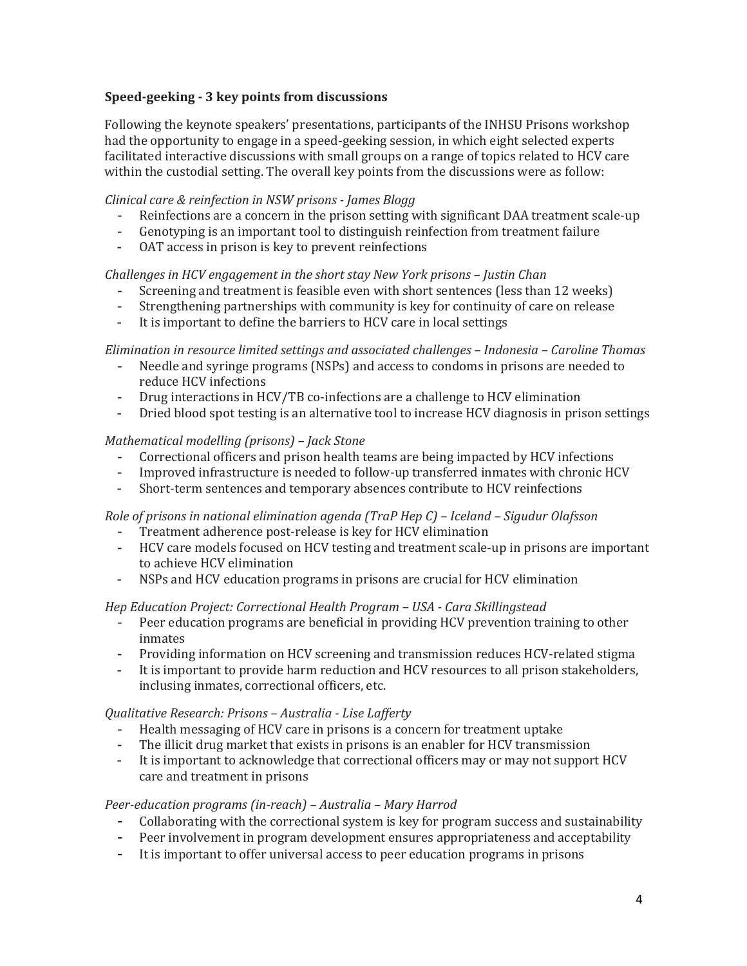# **Speed-geeking - 3 key points from discussions**

Following the keynote speakers' presentations, participants of the INHSU Prisons workshop had the opportunity to engage in a speed-geeking session, in which eight selected experts facilitated interactive discussions with small groups on a range of topics related to HCV care within the custodial setting. The overall key points from the discussions were as follow:

### *Clinical care & reinfection in NSW prisons - James Blogg*

- Reinfections are a concern in the prison setting with significant DAA treatment scale-up
- Genotyping is an important tool to distinguish reinfection from treatment failure
- OAT access in prison is key to prevent reinfections

#### *Challenges in HCV engagement in the short stay New York prisons – Justin Chan*

- Screening and treatment is feasible even with short sentences (less than 12 weeks)
- Strengthening partnerships with community is key for continuity of care on release
- It is important to define the barriers to HCV care in local settings

### *Elimination in resource limited settings and associated challenges – Indonesia – Caroline Thomas*

- Needle and syringe programs (NSPs) and access to condoms in prisons are needed to reduce HCV infections
- Drug interactions in HCV/TB co-infections are a challenge to HCV elimination
- Dried blood spot testing is an alternative tool to increase HCV diagnosis in prison settings

### *Mathematical modelling (prisons) – Jack Stone*

- Correctional officers and prison health teams are being impacted by HCV infections
- Improved infrastructure is needed to follow-up transferred inmates with chronic HCV
- Short-term sentences and temporary absences contribute to HCV reinfections

#### *Role of prisons in national elimination agenda (TraP Hep C) – Iceland – Sigudur Olafsson*

- Treatment adherence post-release is key for HCV elimination
- HCV care models focused on HCV testing and treatment scale-up in prisons are important to achieve HCV elimination
- NSPs and HCV education programs in prisons are crucial for HCV elimination

#### *Hep Education Project: Correctional Health Program – USA - Cara Skillingstead*

- Peer education programs are beneficial in providing HCV prevention training to other inmates
- Providing information on HCV screening and transmission reduces HCV-related stigma
- It is important to provide harm reduction and HCV resources to all prison stakeholders, inclusing inmates, correctional officers, etc.

#### *Qualitative Research: Prisons – Australia - Lise Lafferty*

- Health messaging of HCV care in prisons is a concern for treatment uptake
- The illicit drug market that exists in prisons is an enabler for HCV transmission
- It is important to acknowledge that correctional officers may or may not support HCV care and treatment in prisons

#### *Peer-education programs (in-reach) – Australia – Mary Harrod*

- Collaborating with the correctional system is key for program success and sustainability
- Peer involvement in program development ensures appropriateness and acceptability
- It is important to offer universal access to peer education programs in prisons